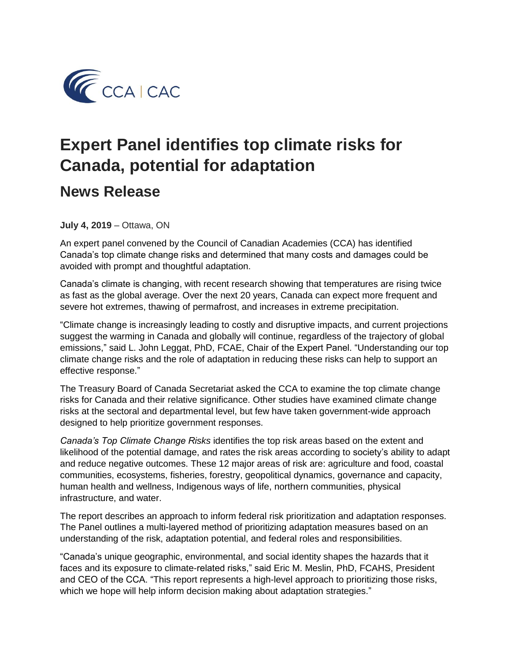

## **Expert Panel identifies top climate risks for Canada, potential for adaptation**

## **News Release**

**July 4, 2019** – Ottawa, ON

An expert panel convened by the Council of Canadian Academies (CCA) has identified Canada's top climate change risks and determined that many costs and damages could be avoided with prompt and thoughtful adaptation.

Canada's climate is changing, with recent research showing that temperatures are rising twice as fast as the global average. Over the next 20 years, Canada can expect more frequent and severe hot extremes, thawing of permafrost, and increases in extreme precipitation.

"Climate change is increasingly leading to costly and disruptive impacts, and current projections suggest the warming in Canada and globally will continue, regardless of the trajectory of global emissions," said L. John Leggat, PhD, FCAE, Chair of the Expert Panel. "Understanding our top climate change risks and the role of adaptation in reducing these risks can help to support an effective response."

The Treasury Board of Canada Secretariat asked the CCA to examine the top climate change risks for Canada and their relative significance. Other studies have examined climate change risks at the sectoral and departmental level, but few have taken government-wide approach designed to help prioritize government responses.

*Canada's Top Climate Change Risks* identifies the top risk areas based on the extent and likelihood of the potential damage, and rates the risk areas according to society's ability to adapt and reduce negative outcomes. These 12 major areas of risk are: agriculture and food, coastal communities, ecosystems, fisheries, forestry, geopolitical dynamics, governance and capacity, human health and wellness, Indigenous ways of life, northern communities, physical infrastructure, and water.

The report describes an approach to inform federal risk prioritization and adaptation responses. The Panel outlines a multi-layered method of prioritizing adaptation measures based on an understanding of the risk, adaptation potential, and federal roles and responsibilities.

"Canada's unique geographic, environmental, and social identity shapes the hazards that it faces and its exposure to climate-related risks," said Eric M. Meslin, PhD, FCAHS, President and CEO of the CCA. "This report represents a high-level approach to prioritizing those risks, which we hope will help inform decision making about adaptation strategies."